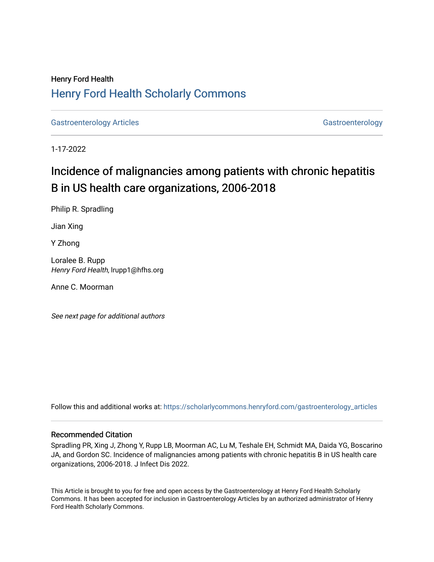# Henry Ford Health [Henry Ford Health Scholarly Commons](https://scholarlycommons.henryford.com/)

[Gastroenterology Articles](https://scholarlycommons.henryford.com/gastroenterology_articles) [Gastroenterology](https://scholarlycommons.henryford.com/gastroenterology) Articles Gastroenterology

1-17-2022

# Incidence of malignancies among patients with chronic hepatitis B in US health care organizations, 2006-2018

Philip R. Spradling

Jian Xing

Y Zhong

Loralee B. Rupp Henry Ford Health, lrupp1@hfhs.org

Anne C. Moorman

See next page for additional authors

Follow this and additional works at: [https://scholarlycommons.henryford.com/gastroenterology\\_articles](https://scholarlycommons.henryford.com/gastroenterology_articles?utm_source=scholarlycommons.henryford.com%2Fgastroenterology_articles%2F241&utm_medium=PDF&utm_campaign=PDFCoverPages) 

#### Recommended Citation

Spradling PR, Xing J, Zhong Y, Rupp LB, Moorman AC, Lu M, Teshale EH, Schmidt MA, Daida YG, Boscarino JA, and Gordon SC. Incidence of malignancies among patients with chronic hepatitis B in US health care organizations, 2006-2018. J Infect Dis 2022.

This Article is brought to you for free and open access by the Gastroenterology at Henry Ford Health Scholarly Commons. It has been accepted for inclusion in Gastroenterology Articles by an authorized administrator of Henry Ford Health Scholarly Commons.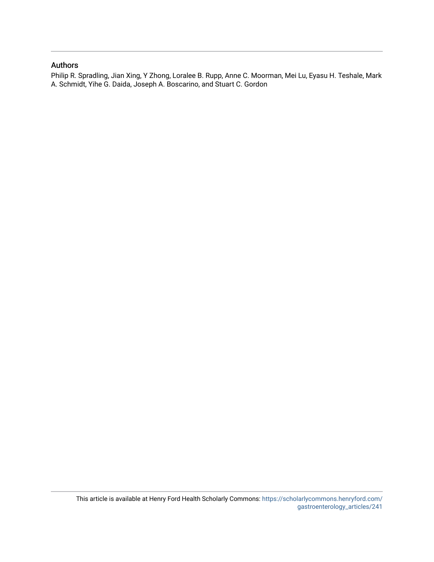### Authors

Philip R. Spradling, Jian Xing, Y Zhong, Loralee B. Rupp, Anne C. Moorman, Mei Lu, Eyasu H. Teshale, Mark A. Schmidt, Yihe G. Daida, Joseph A. Boscarino, and Stuart C. Gordon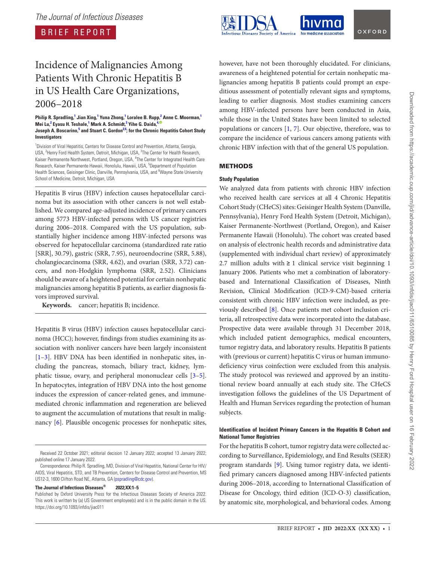BRIEF REPORT

# Incidence of Malignancies Among Patients With Chronic Hepatitis B in US Health Care Organizations, 2006–2018

**Philip R. Spradling, [1](#page-2-0) Jian Xing, [1](#page-2-0) Yuna Zhong, [1](#page-2-0) Loralee B. Rupp, [2](#page-2-1) Anne C. Moorman, [1](#page-2-0) Mei Lu, [2](#page-2-1) Eyasu H. Teshale, [1](#page-2-0) Mark A. Schmidt, [3](#page-2-2) Yihe G. Daida, [4](#page-2-3)[,](https://orcid.org/0000-0003-1628-0476) Joseph A. Boscarino,<sup>[5](#page-2-4)</sup> and Stuart C. Gordon<sup>2[,6](#page-2-5)</sup>; for the Chronic Hepatitis Cohort Study Investigators**

<span id="page-2-4"></span><span id="page-2-3"></span><span id="page-2-2"></span><span id="page-2-1"></span><span id="page-2-0"></span><sup>1</sup> Division of Viral Hepatitis, Centers for Disease Control and Prevention, Atlanta, Georgia, USA, <sup>2</sup>Henry Ford Health System, Detroit, Michigan, USA, <sup>3</sup>The Center for Health Research, Kaiser Permanente Northwest, Portland, Oregon, USA, <sup>4</sup>The Center for Integrated Health Care Research, Kaiser Permanente Hawaii, Honolulu, Hawaii, USA, <sup>5</sup>Department of Population Health Sciences, Geisinger Clinic, Danville, Pennsylvania, USA, and <sup>6</sup>Wayne State University School of Medicine, Detroit, Michigan, USA

<span id="page-2-5"></span>Hepatitis B virus (HBV) infection causes hepatocellular carcinoma but its association with other cancers is not well established. We compared age-adjusted incidence of primary cancers among 5773 HBV-infected persons with US cancer registries during 2006–2018. Compared with the US population, substantially higher incidence among HBV-infected persons was observed for hepatocellular carcinoma (standardized rate ratio [SRR], 30.79), gastric (SRR, 7.95), neuroendocrine (SRR, 5.88), cholangiocarcinoma (SRR, 4.62), and ovarian (SRR, 3.72) cancers, and non-Hodgkin lymphoma (SRR, 2.52). Clinicians should be aware of a heightened potential for certain nonhepatic malignancies among hepatitis B patients, as earlier diagnosis favors improved survival.

**Keywords.** cancer; hepatitis B; incidence.

Hepatitis B virus (HBV) infection causes hepatocellular carcinoma (HCC); however, findings from studies examining its association with nonliver cancers have been largely inconsistent [\[1–](#page-5-0)[3](#page-5-1)]. HBV DNA has been identified in nonhepatic sites, including the pancreas, stomach, biliary tract, kidney, lymphatic tissue, ovary, and peripheral mononuclear cells [\[3](#page-5-1)–[5\]](#page-5-2). In hepatocytes, integration of HBV DNA into the host genome induces the expression of cancer-related genes, and immunemediated chronic inflammation and regeneration are believed to augment the accumulation of mutations that result in malignancy [\[6](#page-5-3)]. Plausible oncogenic processes for nonhepatic sites,

**The Journal of Infectious Diseases® 2022;XX:1–5**

however, have not been thoroughly elucidated. For clinicians, awareness of a heightened potential for certain nonhepatic malignancies among hepatitis B patients could prompt an expeditious assessment of potentially relevant signs and symptoms, leading to earlier diagnosis. Most studies examining cancers among HBV-infected persons have been conducted in Asia, while those in the United States have been limited to selected populations or cancers [[1](#page-5-0), [7](#page-5-4)]. Our objective, therefore, was to compare the incidence of various cancers among patients with chronic HBV infection with that of the general US population.

#### METHODS

#### **Study Population**

We analyzed data from patients with chronic HBV infection who received health care services at all 4 Chronic Hepatitis Cohort Study (CHeCS) sites: Geisinger Health System (Danville, Pennsylvania), Henry Ford Health System (Detroit, Michigan), Kaiser Permanente-Northwest (Portland, Oregon), and Kaiser Permanente Hawaii (Honolulu). The cohort was created based on analysis of electronic health records and administrative data (supplemented with individual chart review) of approximately 2.7 million adults with  $\geq 1$  clinical service visit beginning 1 January 2006. Patients who met a combination of laboratorybased and International Classification of Diseases, Ninth Revision, Clinical Modification (ICD-9-CM)-based criteria consistent with chronic HBV infection were included, as previously described [[8](#page-6-0)]. Once patients met cohort inclusion criteria, all retrospective data were incorporated into the database. Prospective data were available through 31 December 2018, which included patient demographics, medical encounters, tumor registry data, and laboratory results. Hepatitis B patients with (previous or current) hepatitis C virus or human immunodeficiency virus coinfection were excluded from this analysis. The study protocol was reviewed and approved by an institutional review board annually at each study site. The CHeCS investigation follows the guidelines of the US Department of Health and Human Services regarding the protection of human subjects.

#### **Identification of Incident Primary Cancers in the Hepatitis B Cohort and National Tumor Registries**

For the hepatitis B cohort, tumor registry data were collected according to Surveillance, Epidemiology, and End Results (SEER) program standards [[9](#page-6-1)]. Using tumor registry data, we identified primary cancers diagnosed among HBV-infected patients during 2006–2018, according to International Classification of Disease for Oncology, third edition (ICD-O-3) classification, by anatomic site, morphological, and behavioral codes. Among

Received 22 October 2021; editorial decision 12 January 2022; accepted 13 January 2022; published online 17 January 2022.

Correspondence: Philip R. Spradling, MD, Division of Viral Hepatitis, National Center for HIV/ AIDS, Viral Hepatitis, STD, and TB Prevention, Centers for Disease Control and Prevention, MS US12-3, 1600 Clifton Road NE, Atlanta, GA ([pspradling@cdc.gov\)](mailto:pspradling@cdc.gov).

Published by Oxford University Press for the Infectious Diseases Society of America 2022. This work is written by (a) US Government employee(s) and is in the public domain in the US. https://doi.org/10.1093/infdis/jiac011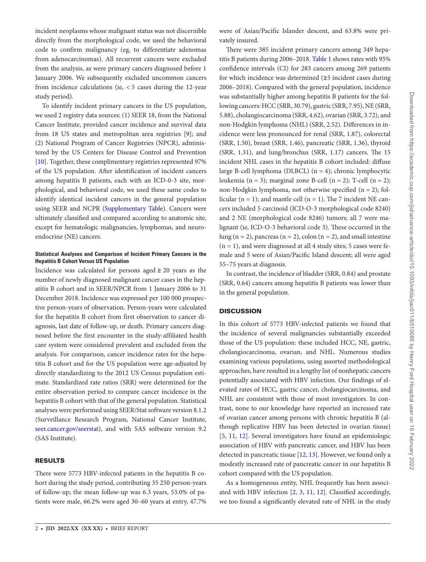incident neoplasms whose malignant status was not discernible directly from the morphological code, we used the behavioral code to confirm malignancy (eg, to differentiate adenomas from adenocarcinomas). All recurrent cancers were excluded from the analysis, as were primary cancers diagnosed before 1 January 2006. We subsequently excluded uncommon cancers from incidence calculations (ie, < 5 cases during the 12-year study period).

To identify incident primary cancers in the US population, we used 2 registry data sources: (1) SEER 18, from the National Cancer Institute, provided cancer incidence and survival data from 18 US states and metropolitan area registries [[9](#page-6-1)]; and (2) National Program of Cancer Registries (NPCR), administered by the US Centers for Disease Control and Prevention [\[10](#page-6-2)]. Together, these complimentary registries represented 97% of the US population. After identification of incident cancers among hepatitis B patients, each with an ICD-0-3 site, morphological, and behavioral code, we used these same codes to identify identical incident cancers in the general population using SEER and NCPR [\(Supplementary Table](http://academic.oup.com/jid/article-lookup/doi/10.1093/infdis/jiac011#supplementary-data)). Cancers were ultimately classified and compared according to anatomic site, except for hematologic malignancies, lymphomas, and neuroendocrine (NE) cancers.

#### **Statistical Analyses and Comparison of Incident Primary Cancers in the Hepatitis B Cohort Versus US Population**

Incidence was calculated for persons aged  $\geq 20$  years as the number of newly diagnosed malignant cancer cases in the hepatitis B cohort and in SEER/NPCR from 1 January 2006 to 31 December 2018. Incidence was expressed per 100 000 prospective person-years of observation. Person-years were calculated for the hepatitis B cohort from first observation to cancer diagnosis, last date of follow-up, or death. Primary cancers diagnosed before the first encounter in the study-affiliated health care system were considered prevalent and excluded from the analysis. For comparison, cancer incidence rates for the hepatitis B cohort and for the US population were age-adjusted by directly standardizing to the 2012 US Census population estimate. Standardized rate ratios (SRR) were determined for the entire observation period to compare cancer incidence in the hepatitis B cohort with that of the general population. Statistical analyses were performed using SEER/Stat software version 8.1.2 (Surveillance Research Program, National Cancer Institute, <seer.cancer.gov/seerstat>), and with SAS software version 9.2 (SAS Institute).

#### RESULTS

There were 5773 HBV-infected patients in the hepatitis B cohort during the study period, contributing 35 250 person-years of follow-up; the mean follow-up was 6.3 years, 53.0% of patients were male, 66.2% were aged 30–60 years at entry, 47.7%

were of Asian/Pacific Islander descent, and 63.8% were privately insured.

There were 385 incident primary cancers among 349 hepatitis B patients during 2006–2018. [Table 1](#page-4-0) shows rates with 95% confidence intervals (CI) for 283 cancers among 269 patients for which incidence was determined (≥5 incident cases during 2006–2018). Compared with the general population, incidence was substantially higher among hepatitis B patients for the following cancers: HCC (SRR, 30.79), gastric (SRR, 7.95), NE (SRR, 5.88), cholangiocarcinoma (SRR, 4.62), ovarian (SRR, 3.72), and non-Hodgkin lymphoma (NHL) (SRR, 2.52). Differences in incidence were less pronounced for renal (SRR, 1.87), colorectal (SRR, 1.50), breast (SRR, 1.46), pancreatic (SRR, 1.36), thyroid (SRR, 1.31), and lung/bronchus (SRR, 1.17) cancers. The 15 incident NHL cases in the hepatitis B cohort included: diffuse large B-cell lymphoma (DLBCL) (n = 4); chronic lymphocytic leukemia (n = 3); marginal zone B-cell (n = 2); T-cell (n = 2); non-Hodgkin lymphoma, not otherwise specified (n = 2); follicular ( $n = 1$ ); and mantle cell ( $n = 1$ ). The 7 incident NE cancers included 5 carcinoid (ICD-O-3 morphological code 8240) and 2 NE (morphological code 8246) tumors; all 7 were malignant (ie, ICD-O-3 behavioral code 3). These occurred in the lung (n = 2), pancreas (n = 2), colon (n = 2), and small intestine  $(n = 1)$ , and were diagnosed at all 4 study sites; 5 cases were female and 5 were of Asian/Pacific Island descent; all were aged 55–75 years at diagnosis.

In contrast, the incidence of bladder (SRR, 0.84) and prostate (SRR, 0.64) cancers among hepatitis B patients was lower than in the general population.

#### **DISCUSSION**

In this cohort of 5773 HBV-infected patients we found that the incidence of several malignancies substantially exceeded those of the US population: these included HCC, NE, gastric, cholangiocarcinoma, ovarian, and NHL. Numerous studies examining various populations, using assorted methodological approaches, have resulted in a lengthy list of nonhepatic cancers potentially associated with HBV infection. Our findings of elevated rates of HCC, gastric cancer, cholangiocarcinoma, and NHL are consistent with those of most investigators. In contrast, none to our knowledge have reported an increased rate of ovarian cancer among persons with chronic hepatitis B (although replicative HBV has been detected in ovarian tissue) [\[5,](#page-5-2) [11](#page-6-3), [12\]](#page-6-4). Several investigators have found an epidemiologic association of HBV with pancreatic cancer, and HBV has been detected in pancreatic tissue [[12,](#page-6-4) [13\]](#page-6-5). However, we found only a modestly increased rate of pancreatic cancer in our hepatitis B cohort compared with the US population.

As a homogeneous entity, NHL frequently has been associated with HBV infection [[2](#page-5-5), [3](#page-5-1), [11,](#page-6-3) [12](#page-6-4)]. Classified accordingly, we too found a significantly elevated rate of NHL in the study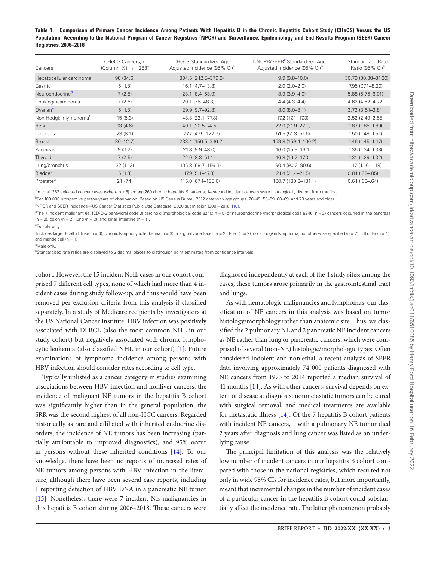<span id="page-4-0"></span>**Table 1. Comparison of Primary Cancer Incidence Among Patients With Hepatitis B in the Chronic Hepatitis Cohort Study (CHeCS) Versus the US Population, According to the National Program of Cancer Registries (NPCR) and Surveillance, Epidemiology and End Results Program (SEER) Cancer Registries, 2006–2018**

| Cancers                           | CHeCS Cancers, n<br>(Column %), $n = 283a$ | <b>CHeCS Standardized Age-</b><br>Adjusted Incidence (95% CI) <sup>b</sup> | NNCPR/SEER <sup>c</sup> Standardized Age-<br>Adjusted Incidence (95% CI) <sup>b</sup> | Standardized Rate<br>Ratio (95% CI) <sup>h</sup> |
|-----------------------------------|--------------------------------------------|----------------------------------------------------------------------------|---------------------------------------------------------------------------------------|--------------------------------------------------|
| Hepatocellular carcinoma          | 98 (34.6)                                  | 304.5 (242.5–379.9)                                                        | $9.9(9.8-10.0)$                                                                       | 30.79 (30.38-31.20)                              |
| Gastric                           | 5(1.8)                                     | 16.1 (4.7-43.8)                                                            | $2.0(2.0-2.0)$                                                                        | 7.95 (7.71-8.20)                                 |
| Neuroendocrine <sup>d</sup>       | 7(2.5)                                     | 23.1 (8.4-53.9)                                                            | $3.9(3.9 - 4.0)$                                                                      | $5.88(5.75 - 6.01)$                              |
| Cholangiocarcinoma                | 7(2.5)                                     | 20.1 (7.5-48.3)                                                            | $4.4(4.3 - 4.4)$                                                                      | 4.62 (4.52-4.72)                                 |
| Ovarian <sup>e</sup>              | 5(1.8)                                     | 29.9 (9.7-92.8)                                                            | $8.0(8.0 - 8.1)$                                                                      | $3.72(3.64 - 3.81)$                              |
| Non-Hodgkin lymphoma <sup>t</sup> | 15(5.3)                                    | 43.3 (23.1-77.8)                                                           | 17.2 (17.1-17.3)                                                                      | $2.52(2.49 - 2.55)$                              |
| Renal                             | 13(4.6)                                    | 40.1 (20.5-74.5)                                                           | $22.0(21.9 - 22.1)$                                                                   | $1.87(1.85 - 1.89)$                              |
| Colorectal                        | 23(8.1)                                    | 77.7 (47.5-122.7)                                                          | 51.5 (51.3-51.6)                                                                      | $1.50(1.49 - 1.51)$                              |
| Breast <sup>e</sup>               | 36(12.7)                                   | 233.4 (156.5-346.2)                                                        | 159.8 (159.4-160.2)                                                                   | $1.46(1.45 - 1.47)$                              |
| Pancreas                          | 9(3.2)                                     | 21.8 (9.9-48.0)                                                            | $16.0(15.9 - 16.1)$                                                                   | 1.36 (1.34-1.38)                                 |
| Thyroid                           | 7(2.5)                                     | $22.0(8.3 - 51.1)$                                                         | 16.8 (16.7–17.0)                                                                      | $1.31(1.29 - 1.32)$                              |
| Lung/bronchus                     | 32 (11.3)                                  | 105.8 (69.7-156.3)                                                         | $90.4(90.2 - 90.6)$                                                                   | $1.17(1.16 - 1.18)$                              |
| <b>Bladder</b>                    | 5(1.8)                                     | $17.9(5.1 - 47.8)$                                                         | 21.4 (21.4-21.5)                                                                      | $0.84$ $(.82-.85)$                               |
| Prostate <sup>9</sup>             | 21(7.4)                                    | 115.0 (67.4-185.6)                                                         | 180.7 (180.3-181.1)                                                                   | $0.64$ $(.63 - .64)$                             |

<span id="page-4-1"></span><sup>a</sup>In total, 283 selected cancer cases (where n ≥ 5) among 269 chronic hepatitis B patients; 14 second incident cancers were histologically distinct from the first.

<span id="page-4-2"></span>b Per 100 000 prospective person-years of observation. Based on US Census Bureau 2012 data with age groups: 20–49, 50–59, 60–69, and 70 years and older.

<span id="page-4-3"></span>c NPCR and SEER Incidence—US Cancer Statistics Public Use Database, 2020 submission (2001–2018) [\[10\]](#page-6-2).

<span id="page-4-5"></span><sup>d</sup>The 7 incident malignant (ie, ICD-O-3 behavioral code 3) carcinoid (morphological code 8240; n = 5) or neuroendocrine (morphological code 8246; n = 2) cancers occurred in the pancreas  $(n = 2)$ , colon  $(n = 2)$ , lung  $(n = 2)$ , and small intestine  $(n = 1)$ .

<span id="page-4-6"></span><sup>e</sup>Female only

<span id="page-4-7"></span>f Includes large B-cell, diffuse (n = 4); chronic lymphocytic leukemia (n = 3); marginal zone B-cell (n = 2); T-cell (n = 2); non-Hodgkin lymphoma, not otherwise specified (n = 2); follicular (n = 1); and mantle cell ( $n = 1$ ).

<span id="page-4-8"></span><sup>g</sup>Male only.

<span id="page-4-4"></span>hStandardized rate ratios are displayed to 2 decimal places to distinguish point estimates from confidence intervals.

cohort. However, the 15 incident NHL cases in our cohort comprised 7 different cell types, none of which had more than 4 incident cases during study follow-up, and thus would have been removed per exclusion criteria from this analysis if classified separately. In a study of Medicare recipients by investigators at the US National Cancer Institute, HBV infection was positively associated with DLBCL (also the most common NHL in our study cohort) but negatively associated with chronic lymphocytic leukemia (also classified NHL in our cohort) [\[1\]](#page-5-0). Future examinations of lymphoma incidence among persons with HBV infection should consider rates according to cell type.

Typically unlisted as a cancer category in studies examining associations between HBV infection and nonliver cancers, the incidence of malignant NE tumors in the hepatitis B cohort was significantly higher than in the general population; the SRR was the second highest of all non-HCC cancers. Regarded historically as rare and affiliated with inherited endocrine disorders, the incidence of NE tumors has been increasing (partially attributable to improved diagnostics), and 95% occur in persons without these inherited conditions [\[14](#page-6-6)]. To our knowledge, there have been no reports of increased rates of NE tumors among persons with HBV infection in the literature, although there have been several case reports, including 1 reporting detection of HBV DNA in a pancreatic NE tumor [\[15](#page-6-7)]. Nonetheless, there were 7 incident NE malignancies in this hepatitis B cohort during 2006–2018. These cancers were

diagnosed independently at each of the 4 study sites; among the cases, these tumors arose primarily in the gastrointestinal tract and lungs.

As with hematologic malignancies and lymphomas, our classification of NE cancers in this analysis was based on tumor histology/morphology rather than anatomic site. Thus, we classified the 2 pulmonary NE and 2 pancreatic NE incident cancers as NE rather than lung or pancreatic cancers, which were comprised of several (non-NE) histologic/morphologic types. Often considered indolent and nonlethal, a recent analysis of SEER data involving approximately 74 000 patients diagnosed with NE cancers from 1973 to 2014 reported a median survival of 41 months [[14\]](#page-6-6). As with other cancers, survival depends on extent of disease at diagnosis; nonmetastatic tumors can be cured with surgical removal, and medical treatments are available for metastatic illness [\[14](#page-6-6)]. Of the 7 hepatitis B cohort patients with incident NE cancers, 1 with a pulmonary NE tumor died 2 years after diagnosis and lung cancer was listed as an underlying cause.

The principal limitation of this analysis was the relatively low number of incident cancers in our hepatitis B cohort compared with those in the national registries, which resulted not only in wide 95% CIs for incidence rates, but more importantly, meant that incremental changes in the number of incident cases of a particular cancer in the hepatitis B cohort could substantially affect the incidence rate. The latter phenomenon probably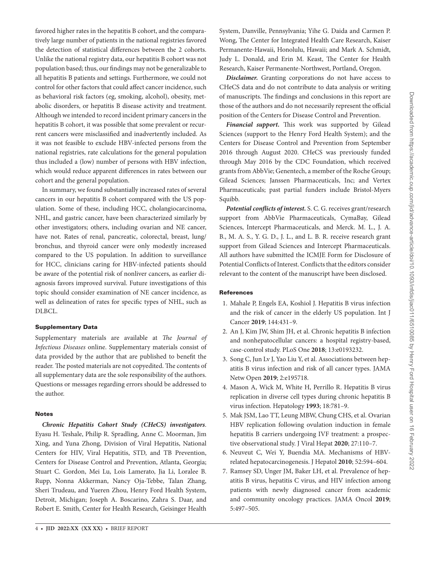favored higher rates in the hepatitis B cohort, and the comparatively large number of patients in the national registries favored the detection of statistical differences between the 2 cohorts. Unlike the national registry data, our hepatitis B cohort was not population based; thus, our findings may not be generalizable to all hepatitis B patients and settings. Furthermore, we could not control for other factors that could affect cancer incidence, such as behavioral risk factors (eg, smoking, alcohol), obesity, metabolic disorders, or hepatitis B disease activity and treatment. Although we intended to record incident primary cancers in the hepatitis B cohort, it was possible that some prevalent or recurrent cancers were misclassified and inadvertently included. As it was not feasible to exclude HBV-infected persons from the national registries, rate calculations for the general population thus included a (low) number of persons with HBV infection, which would reduce apparent differences in rates between our cohort and the general population.

In summary, we found substantially increased rates of several cancers in our hepatitis B cohort compared with the US population. Some of these, including HCC, cholangiocarcinoma, NHL, and gastric cancer, have been characterized similarly by other investigators; others, including ovarian and NE cancer, have not. Rates of renal, pancreatic, colorectal, breast, lung/ bronchus, and thyroid cancer were only modestly increased compared to the US population. In addition to surveillance for HCC, clinicians caring for HBV-infected patients should be aware of the potential risk of nonliver cancers, as earlier diagnosis favors improved survival. Future investigations of this topic should consider examination of NE cancer incidence, as well as delineation of rates for specific types of NHL, such as DLBCL.

#### Supplementary Data

Supplementary materials are available at *The Journal of Infectious Diseases* online. Supplementary materials consist of data provided by the author that are published to benefit the reader. The posted materials are not copyedited. The contents of all supplementary data are the sole responsibility of the authors. Questions or messages regarding errors should be addressed to the author.

#### Notes

*Chronic Hepatitis Cohort Study (CHeCS) investigators*. Eyasu H. Teshale, Philip R. Spradling, Anne C. Moorman, Jim Xing, and Yuna Zhong, Division of Viral Hepatitis, National Centers for HIV, Viral Hepatitis, STD, and TB Prevention, Centers for Disease Control and Prevention, Atlanta, Georgia; Stuart C. Gordon, Mei Lu, Lois Lamerato, Jia Li, Loralee B. Rupp, Nonna Akkerman, Nancy Oja-Tebbe, Talan Zhang, Sheri Trudeau, and Yueren Zhou, Henry Ford Health System, Detroit, Michigan; Joseph A. Boscarino, Zahra S. Daar, and Robert E. Smith, Center for Health Research, Geisinger Health

4 • **JID 2022:XX (XX XX)** • BRIEF REPORT

System, Danville, Pennsylvania; Yihe G. Daida and Carmen P. Wong, The Center for Integrated Health Care Research, Kaiser Permanente-Hawaii, Honolulu, Hawaii; and Mark A. Schmidt, Judy L. Donald, and Erin M. Keast, The Center for Health Research, Kaiser Permanente-Northwest, Portland, Oregon.

*Disclaimer.* Granting corporations do not have access to CHeCS data and do not contribute to data analysis or writing of manuscripts. The findings and conclusions in this report are those of the authors and do not necessarily represent the official position of the Centers for Disease Control and Prevention.

*Financial support.* This work was supported by Gilead Sciences (support to the Henry Ford Health System); and the Centers for Disease Control and Prevention from September 2016 through August 2020. CHeCS was previously funded through May 2016 by the CDC Foundation, which received grants from AbbVie; Genentech, a member of the Roche Group; Gilead Sciences; Janssen Pharmaceuticals, Inc; and Vertex Pharmaceuticals; past partial funders include Bristol-Myers Squibb.

*Potential conflicts of interest.* S. C. G. receives grant/research support from AbbVie Pharmaceuticals, CymaBay, Gilead Sciences, Intercept Pharmaceuticals, and Merck. M. L., J. A. B., M. A. S., Y. G. D., J. L., and L. B. R. receive research grant support from Gilead Sciences and Intercept Pharmaceuticals. All authors have submitted the ICMJE Form for Disclosure of Potential Conflicts of Interest. Conflicts that the editors consider relevant to the content of the manuscript have been disclosed.

#### References

- <span id="page-5-0"></span>1. Mahale P, Engels EA, Koshiol J. Hepatitis B virus infection and the risk of cancer in the elderly US population. Int J Cancer **2019**; 144:431–9.
- <span id="page-5-5"></span>2. An J, Kim JW, Shim JH, et al. Chronic hepatitis B infection and nonhepatocellular cancers: a hospital registry-based, case-control study. PLoS One **2018**; 13:e0193232.
- <span id="page-5-1"></span>3. Song C, Jun Lv J, Yao Liu Y, et al. Associations between hepatitis B virus infection and risk of all cancer types. JAMA Netw Open **2019**; 2:e195718.
- 4. Mason A, Wick M, White H, Perrillo R. Hepatitis B virus replication in diverse cell types during chronic hepatitis B virus infection. Hepatology **1993**; 18:781–9.
- <span id="page-5-2"></span>5. Mak JSM, Lao TT, Leung MBW, Chung CHS, et al. Ovarian HBV replication following ovulation induction in female hepatitis B carriers undergoing IVF treatment: a prospective observational study. J Viral Hepat **2020**; 27:110–7.
- <span id="page-5-3"></span>6. Neuveut C, Wei Y, Buendia MA. Mechanisms of HBVrelated hepatocarcinogenesis. J Hepatol **2010**; 52:594–604.
- <span id="page-5-4"></span>7. Ramsey SD, Unger JM, Baker LH, et al. Prevalence of hepatitis B virus, hepatitis C virus, and HIV infection among patients with newly diagnosed cancer from academic and community oncology practices. JAMA Oncol **2019**; 5:497–505.